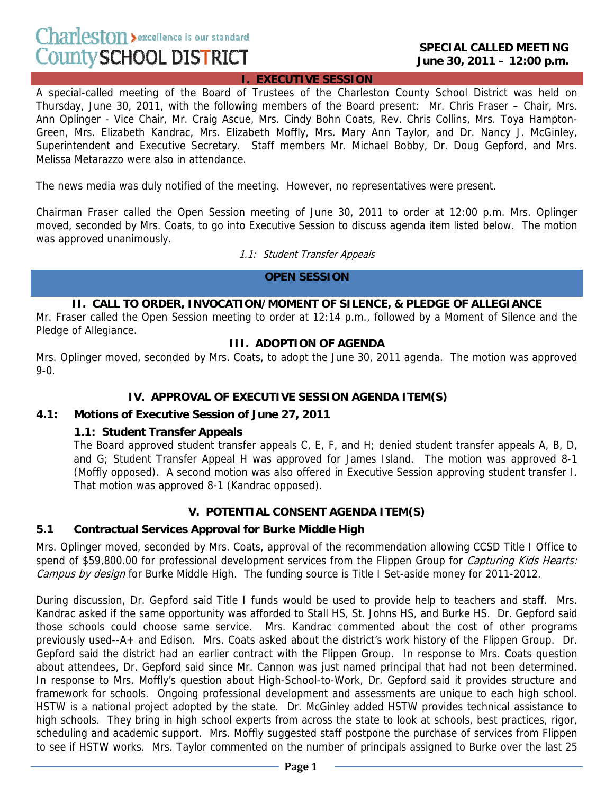# Charleston > excellence is our standard County SCHOOL DISTRICT

#### **I. EXECUTIVE SESSION**

A special-called meeting of the Board of Trustees of the Charleston County School District was held on Thursday, June 30, 2011, with the following members of the Board present: Mr. Chris Fraser – Chair, Mrs. Ann Oplinger - Vice Chair, Mr. Craig Ascue, Mrs. Cindy Bohn Coats, Rev. Chris Collins, Mrs. Toya Hampton-Green, Mrs. Elizabeth Kandrac, Mrs. Elizabeth Moffly, Mrs. Mary Ann Taylor, and Dr. Nancy J. McGinley, Superintendent and Executive Secretary. Staff members Mr. Michael Bobby, Dr. Doug Gepford, and Mrs. Melissa Metarazzo were also in attendance.

The news media was duly notified of the meeting. However, no representatives were present.

Chairman Fraser called the Open Session meeting of June 30, 2011 to order at 12:00 p.m. Mrs. Oplinger moved, seconded by Mrs. Coats, to go into Executive Session to discuss agenda item listed below. The motion was approved unanimously.

1.1: Student Transfer Appeals

#### **OPEN SESSION**

## **II. CALL TO ORDER, INVOCATION/MOMENT OF SILENCE, & PLEDGE OF ALLEGIANCE**

Mr. Fraser called the Open Session meeting to order at 12:14 p.m., followed by a Moment of Silence and the Pledge of Allegiance.

## **III. ADOPTION OF AGENDA**

Mrs. Oplinger moved, seconded by Mrs. Coats, to adopt the June 30, 2011 agenda. The motion was approved 9-0.

# **IV. APPROVAL OF EXECUTIVE SESSION AGENDA ITEM(S)**

#### **4.1: Motions of Executive Session of June 27, 2011**

## **1.1: Student Transfer Appeals**

The Board approved student transfer appeals C, E, F, and H; denied student transfer appeals A, B, D, and G; Student Transfer Appeal H was approved for James Island. The motion was approved 8-1 (Moffly opposed). A second motion was also offered in Executive Session approving student transfer I. That motion was approved 8-1 (Kandrac opposed).

## **V. POTENTIAL CONSENT AGENDA ITEM(S)**

## **5.1 Contractual Services Approval for Burke Middle High**

Mrs. Oplinger moved, seconded by Mrs. Coats, approval of the recommendation allowing CCSD Title I Office to spend of \$59,800.00 for professional development services from the Flippen Group for Capturing Kids Hearts: Campus by design for Burke Middle High. The funding source is Title I Set-aside money for 2011-2012.

During discussion, Dr. Gepford said Title I funds would be used to provide help to teachers and staff. Mrs. Kandrac asked if the same opportunity was afforded to Stall HS, St. Johns HS, and Burke HS. Dr. Gepford said those schools could choose same service. Mrs. Kandrac commented about the cost of other programs previously used--A+ and Edison. Mrs. Coats asked about the district's work history of the Flippen Group. Dr. Gepford said the district had an earlier contract with the Flippen Group. In response to Mrs. Coats question about attendees, Dr. Gepford said since Mr. Cannon was just named principal that had not been determined. In response to Mrs. Moffly's question about High-School-to-Work, Dr. Gepford said it provides structure and framework for schools. Ongoing professional development and assessments are unique to each high school. HSTW is a national project adopted by the state. Dr. McGinley added HSTW provides technical assistance to high schools. They bring in high school experts from across the state to look at schools, best practices, rigor, scheduling and academic support. Mrs. Moffly suggested staff postpone the purchase of services from Flippen to see if HSTW works. Mrs. Taylor commented on the number of principals assigned to Burke over the last 25